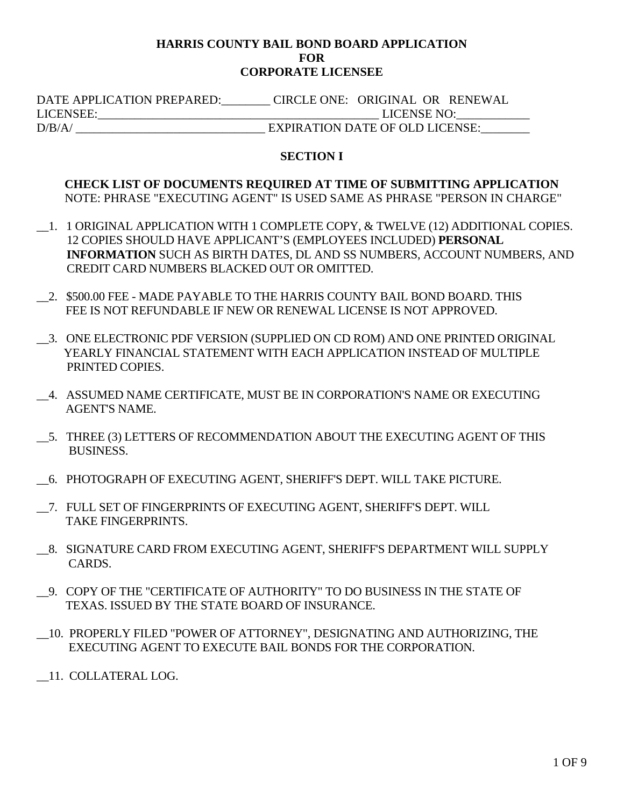#### **HARRIS COUNTY BAIL BOND BOARD APPLICATION FOR CORPORATE LICENSEE**

 DATE APPLICATION PREPARED:\_\_\_\_\_\_\_\_ CIRCLE ONE: ORIGINAL OR RENEWAL LICENSEE:\_\_\_\_\_\_\_\_\_\_\_\_\_\_\_\_\_\_\_\_\_\_\_\_\_\_\_\_\_\_\_\_\_\_\_\_\_\_\_\_\_\_\_\_\_\_ LICENSE NO:\_\_\_\_\_\_\_\_\_\_\_\_ D/B/A/ EXPIRATION DATE OF OLD LICENSE:

### **SECTION I**

## **CHECK LIST OF DOCUMENTS REQUIRED AT TIME OF SUBMITTING APPLICATION**  NOTE: PHRASE "EXECUTING AGENT" IS USED SAME AS PHRASE "PERSON IN CHARGE"

- \_\_1. 1 ORIGINAL APPLICATION WITH 1 COMPLETE COPY, & TWELVE (12) ADDITIONAL COPIES. 12 COPIES SHOULD HAVE APPLICANT'S (EMPLOYEES INCLUDED) **PERSONAL INFORMATION** SUCH AS BIRTH DATES, DL AND SS NUMBERS, ACCOUNT NUMBERS, AND CREDIT CARD NUMBERS BLACKED OUT OR OMITTED.
- \_\_2. \$500.00 FEE MADE PAYABLE TO THE HARRIS COUNTY BAIL BOND BOARD. THIS FEE IS NOT REFUNDABLE IF NEW OR RENEWAL LICENSE IS NOT APPROVED.
- \_\_3. ONE ELECTRONIC PDF VERSION (SUPPLIED ON CD ROM) AND ONE PRINTED ORIGINAL YEARLY FINANCIAL STATEMENT WITH EACH APPLICATION INSTEAD OF MULTIPLE PRINTED COPIES.
- \_\_4. ASSUMED NAME CERTIFICATE, MUST BE IN CORPORATION'S NAME OR EXECUTING AGENT'S NAME.
- \_\_5. THREE (3) LETTERS OF RECOMMENDATION ABOUT THE EXECUTING AGENT OF THIS BUSINESS.
- \_\_6. PHOTOGRAPH OF EXECUTING AGENT, SHERIFF'S DEPT. WILL TAKE PICTURE.
- \_\_7. FULL SET OF FINGERPRINTS OF EXECUTING AGENT, SHERIFF'S DEPT. WILL TAKE FINGERPRINTS.
- \_\_8. SIGNATURE CARD FROM EXECUTING AGENT, SHERIFF'S DEPARTMENT WILL SUPPLY CARDS.
- \_\_9. COPY OF THE "CERTIFICATE OF AUTHORITY" TO DO BUSINESS IN THE STATE OF TEXAS. ISSUED BY THE STATE BOARD OF INSURANCE.
- \_\_10. PROPERLY FILED "POWER OF ATTORNEY", DESIGNATING AND AUTHORIZING, THE EXECUTING AGENT TO EXECUTE BAIL BONDS FOR THE CORPORATION.
- \_\_11. COLLATERAL LOG.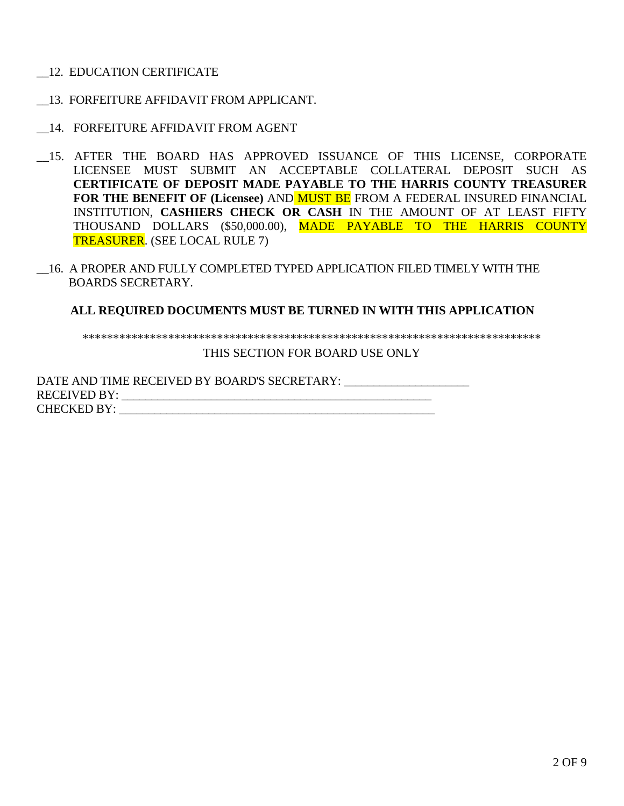- \_\_12. EDUCATION CERTIFICATE
- \_\_13. FORFEITURE AFFIDAVIT FROM APPLICANT.
- \_\_14. FORFEITURE AFFIDAVIT FROM AGENT
- \_\_15. AFTER THE BOARD HAS APPROVED ISSUANCE OF THIS LICENSE, CORPORATE LICENSEE MUST SUBMIT AN ACCEPTABLE COLLATERAL DEPOSIT SUCH AS **CERTIFICATE OF DEPOSIT MADE PAYABLE TO THE HARRIS COUNTY TREASURER FOR THE BENEFIT OF (Licensee)** AND MUST BE FROM A FEDERAL INSURED FINANCIAL INSTITUTION, **CASHIERS CHECK OR CASH** IN THE AMOUNT OF AT LEAST FIFTY THOUSAND DOLLARS (\$50,000.00), MADE PAYABLE TO THE HARRIS COUNTY TREASURER. (SEE LOCAL RULE 7)
- \_\_16. A PROPER AND FULLY COMPLETED TYPED APPLICATION FILED TIMELY WITH THE BOARDS SECRETARY.

### **ALL REQUIRED DOCUMENTS MUST BE TURNED IN WITH THIS APPLICATION**

\*\*\*\*\*\*\*\*\*\*\*\*\*\*\*\*\*\*\*\*\*\*\*\*\*\*\*\*\*\*\*\*\*\*\*\*\*\*\*\*\*\*\*\*\*\*\*\*\*\*\*\*\*\*\*\*\*\*\*\*\*\*\*\*\*\*\*\*\*\*\*\*\*\*\*

THIS SECTION FOR BOARD USE ONLY

DATE AND TIME RECEIVED BY BOARD'S SECRETARY: RECEIVED BY: \_\_\_\_\_\_\_\_\_\_\_\_\_\_\_\_\_\_\_\_\_\_\_\_\_\_\_\_\_\_\_\_\_\_\_\_\_\_\_\_\_\_\_\_\_\_\_\_\_\_\_\_ CHECKED BY: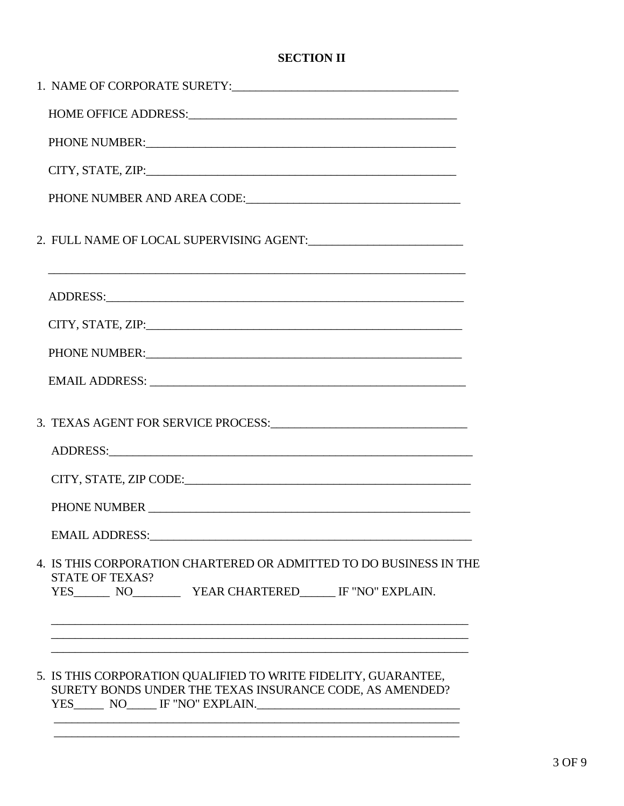# **SECTION II**

| PHONE NUMBER: The contract of the contract of the contract of the contract of the contract of the contract of the contract of the contract of the contract of the contract of the contract of the contract of the contract of  |  |  |  |  |
|--------------------------------------------------------------------------------------------------------------------------------------------------------------------------------------------------------------------------------|--|--|--|--|
|                                                                                                                                                                                                                                |  |  |  |  |
|                                                                                                                                                                                                                                |  |  |  |  |
| 2. FULL NAME OF LOCAL SUPERVISING AGENT:                                                                                                                                                                                       |  |  |  |  |
| <u> 1999 - Jan James James Barnett, amerikan berlindar (h. 1989).</u>                                                                                                                                                          |  |  |  |  |
|                                                                                                                                                                                                                                |  |  |  |  |
| PHONE NUMBER: University of the set of the set of the set of the set of the set of the set of the set of the set of the set of the set of the set of the set of the set of the set of the set of the set of the set of the set |  |  |  |  |
| EMAIL ADDRESS: University of the Second Contract of the Second Contract of the Second Contract of the Second Contract of the Second Contract of the Second Contract of the Second Contract of the Second Contract of the Secon |  |  |  |  |
|                                                                                                                                                                                                                                |  |  |  |  |
|                                                                                                                                                                                                                                |  |  |  |  |
| CITY, STATE, ZIP CODE: University of the CITY, STATE, APPECIAL CITY, STATE, APPECIAL COMPUTER                                                                                                                                  |  |  |  |  |
|                                                                                                                                                                                                                                |  |  |  |  |
| <b>EMAIL ADDRESS:</b>                                                                                                                                                                                                          |  |  |  |  |
| 4. IS THIS CORPORATION CHARTERED OR ADMITTED TO DO BUSINESS IN THE<br><b>STATE OF TEXAS?</b><br>YES__________ NO_______________ YEAR CHARTERED________ IF "NO" EXPLAIN.                                                        |  |  |  |  |
|                                                                                                                                                                                                                                |  |  |  |  |
| 5. IS THIS CORPORATION QUALIFIED TO WRITE FIDELITY, GUARANTEE,<br>SURETY BONDS UNDER THE TEXAS INSURANCE CODE, AS AMENDED?                                                                                                     |  |  |  |  |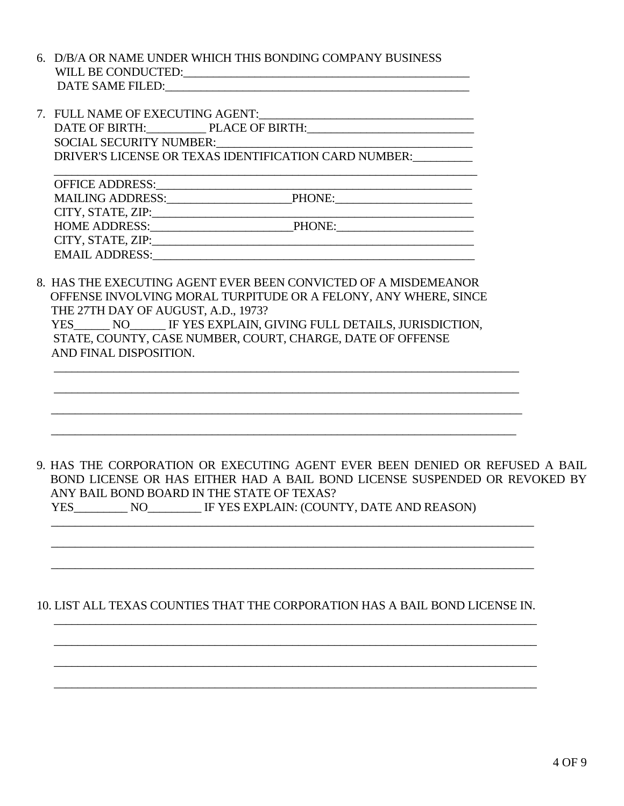- 6. D/B/A OR NAME UNDER WHICH THIS BONDING COMPANY BUSINESS WILL BE CONDUCTED:\_\_\_\_\_\_\_\_\_\_\_\_\_\_\_\_\_\_\_\_\_\_\_\_\_\_\_\_\_\_\_\_\_\_\_\_\_\_\_\_\_\_\_\_\_\_\_\_ DATE SAME FILED:
- 7. FULL NAME OF EXECUTING AGENT: DATE OF BIRTH: PLACE OF BIRTH: SOCIAL SECURITY NUMBER: DRIVER'S LICENSE OR TEXAS IDENTIFICATION CARD NUMBER:

| <b>OFFICE ADDRESS:</b>  |        |
|-------------------------|--------|
| <b>MAILING ADDRESS:</b> | PHONE: |
| CITY, STATE, ZIP:       |        |
| <b>HOME ADDRESS:</b>    | PHONE: |
| CITY, STATE, ZIP:       |        |
| <b>EMAIL ADDRESS:</b>   |        |

8. HAS THE EXECUTING AGENT EVER BEEN CONVICTED OF A MISDEMEANOR OFFENSE INVOLVING MORAL TURPITUDE OR A FELONY, ANY WHERE, SINCE THE 27TH DAY OF AUGUST, A.D., 1973? YES\_\_\_\_\_\_ NO\_\_\_\_\_\_ IF YES EXPLAIN, GIVING FULL DETAILS, JURISDICTION, STATE, COUNTY, CASE NUMBER, COURT, CHARGE, DATE OF OFFENSE AND FINAL DISPOSITION.

 $\frac{1}{\sqrt{2}}$  ,  $\frac{1}{\sqrt{2}}$  ,  $\frac{1}{\sqrt{2}}$  ,  $\frac{1}{\sqrt{2}}$  ,  $\frac{1}{\sqrt{2}}$  ,  $\frac{1}{\sqrt{2}}$  ,  $\frac{1}{\sqrt{2}}$  ,  $\frac{1}{\sqrt{2}}$  ,  $\frac{1}{\sqrt{2}}$  ,  $\frac{1}{\sqrt{2}}$  ,  $\frac{1}{\sqrt{2}}$  ,  $\frac{1}{\sqrt{2}}$  ,  $\frac{1}{\sqrt{2}}$  ,  $\frac{1}{\sqrt{2}}$  ,  $\frac{1}{\sqrt{2}}$ 

 $\frac{1}{\sqrt{2}}$  ,  $\frac{1}{\sqrt{2}}$  ,  $\frac{1}{\sqrt{2}}$  ,  $\frac{1}{\sqrt{2}}$  ,  $\frac{1}{\sqrt{2}}$  ,  $\frac{1}{\sqrt{2}}$  ,  $\frac{1}{\sqrt{2}}$  ,  $\frac{1}{\sqrt{2}}$  ,  $\frac{1}{\sqrt{2}}$  ,  $\frac{1}{\sqrt{2}}$  ,  $\frac{1}{\sqrt{2}}$  ,  $\frac{1}{\sqrt{2}}$  ,  $\frac{1}{\sqrt{2}}$  ,  $\frac{1}{\sqrt{2}}$  ,  $\frac{1}{\sqrt{2}}$ 

 $\overline{\phantom{a}}$  , and the contribution of the contribution of the contribution of the contribution of the contribution of the contribution of the contribution of the contribution of the contribution of the contribution of the

 $\overline{\phantom{a}}$  , and the contribution of the contribution of the contribution of the contribution of the contribution of the contribution of the contribution of the contribution of the contribution of the contribution of the

# 9. HAS THE CORPORATION OR EXECUTING AGENT EVER BEEN DENIED OR REFUSED A BAIL BOND LICENSE OR HAS EITHER HAD A BAIL BOND LICENSE SUSPENDED OR REVOKED BY ANY BAIL BOND BOARD IN THE STATE OF TEXAS?

| <b>YES</b> | NΟ | IF YES EXPLAIN: (COUNTY, DATE AND REASON) |
|------------|----|-------------------------------------------|
|------------|----|-------------------------------------------|

## 10. LIST ALL TEXAS COUNTIES THAT THE CORPORATION HAS A BAIL BOND LICENSE IN.  $\overline{\phantom{a}}$  ,  $\overline{\phantom{a}}$  ,  $\overline{\phantom{a}}$  ,  $\overline{\phantom{a}}$  ,  $\overline{\phantom{a}}$  ,  $\overline{\phantom{a}}$  ,  $\overline{\phantom{a}}$  ,  $\overline{\phantom{a}}$  ,  $\overline{\phantom{a}}$  ,  $\overline{\phantom{a}}$  ,  $\overline{\phantom{a}}$  ,  $\overline{\phantom{a}}$  ,  $\overline{\phantom{a}}$  ,  $\overline{\phantom{a}}$  ,  $\overline{\phantom{a}}$  ,  $\overline{\phantom{a}}$

 $\overline{\phantom{a}}$  ,  $\overline{\phantom{a}}$  ,  $\overline{\phantom{a}}$  ,  $\overline{\phantom{a}}$  ,  $\overline{\phantom{a}}$  ,  $\overline{\phantom{a}}$  ,  $\overline{\phantom{a}}$  ,  $\overline{\phantom{a}}$  ,  $\overline{\phantom{a}}$  ,  $\overline{\phantom{a}}$  ,  $\overline{\phantom{a}}$  ,  $\overline{\phantom{a}}$  ,  $\overline{\phantom{a}}$  ,  $\overline{\phantom{a}}$  ,  $\overline{\phantom{a}}$  ,  $\overline{\phantom{a}}$ 

 $\overline{\phantom{a}}$  ,  $\overline{\phantom{a}}$  ,  $\overline{\phantom{a}}$  ,  $\overline{\phantom{a}}$  ,  $\overline{\phantom{a}}$  ,  $\overline{\phantom{a}}$  ,  $\overline{\phantom{a}}$  ,  $\overline{\phantom{a}}$  ,  $\overline{\phantom{a}}$  ,  $\overline{\phantom{a}}$  ,  $\overline{\phantom{a}}$  ,  $\overline{\phantom{a}}$  ,  $\overline{\phantom{a}}$  ,  $\overline{\phantom{a}}$  ,  $\overline{\phantom{a}}$  ,  $\overline{\phantom{a}}$ 

 $\frac{1}{2}$  ,  $\frac{1}{2}$  ,  $\frac{1}{2}$  ,  $\frac{1}{2}$  ,  $\frac{1}{2}$  ,  $\frac{1}{2}$  ,  $\frac{1}{2}$  ,  $\frac{1}{2}$  ,  $\frac{1}{2}$  ,  $\frac{1}{2}$  ,  $\frac{1}{2}$  ,  $\frac{1}{2}$  ,  $\frac{1}{2}$  ,  $\frac{1}{2}$  ,  $\frac{1}{2}$  ,  $\frac{1}{2}$  ,  $\frac{1}{2}$  ,  $\frac{1}{2}$  ,  $\frac{1$ 

 $\overline{\phantom{a}}$  , and the contribution of the contribution of the contribution of the contribution of the contribution of the contribution of the contribution of the contribution of the contribution of the contribution of the

 $\overline{\phantom{a}}$  ,  $\overline{\phantom{a}}$  ,  $\overline{\phantom{a}}$  ,  $\overline{\phantom{a}}$  ,  $\overline{\phantom{a}}$  ,  $\overline{\phantom{a}}$  ,  $\overline{\phantom{a}}$  ,  $\overline{\phantom{a}}$  ,  $\overline{\phantom{a}}$  ,  $\overline{\phantom{a}}$  ,  $\overline{\phantom{a}}$  ,  $\overline{\phantom{a}}$  ,  $\overline{\phantom{a}}$  ,  $\overline{\phantom{a}}$  ,  $\overline{\phantom{a}}$  ,  $\overline{\phantom{a}}$ 

 $\overline{\phantom{a}}$  , and the contribution of the contribution of the contribution of the contribution of the contribution of the contribution of the contribution of the contribution of the contribution of the contribution of the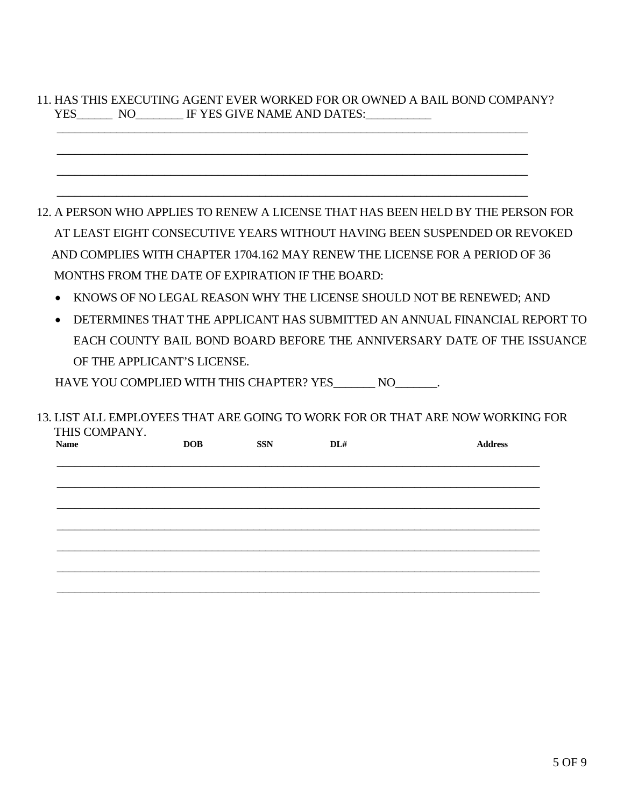# 11. HAS THIS EXECUTING AGENT EVER WORKED FOR OR OWNED A BAIL BOND COMPANY? YES\_\_\_\_\_\_\_ NO\_\_\_\_\_\_\_\_ IF YES GIVE NAME AND DATES:\_\_\_\_\_\_\_\_\_\_\_\_\_\_\_\_\_\_\_\_\_\_\_\_\_\_\_\_\_\_\_

 $\overline{\phantom{a}}$  , and the contribution of the contribution of the contribution of the contribution of the contribution of the contribution of the contribution of the contribution of the contribution of the contribution of the

 $\overline{\phantom{a}}$  , and the contribution of the contribution of the contribution of the contribution of the contribution of the contribution of the contribution of the contribution of the contribution of the contribution of the

 $\frac{1}{2}$  ,  $\frac{1}{2}$  ,  $\frac{1}{2}$  ,  $\frac{1}{2}$  ,  $\frac{1}{2}$  ,  $\frac{1}{2}$  ,  $\frac{1}{2}$  ,  $\frac{1}{2}$  ,  $\frac{1}{2}$  ,  $\frac{1}{2}$  ,  $\frac{1}{2}$  ,  $\frac{1}{2}$  ,  $\frac{1}{2}$  ,  $\frac{1}{2}$  ,  $\frac{1}{2}$  ,  $\frac{1}{2}$  ,  $\frac{1}{2}$  ,  $\frac{1}{2}$  ,  $\frac{1$ 

 $\overline{\phantom{a}}$  , and the contribution of the contribution of the contribution of the contribution of the contribution of the contribution of the contribution of the contribution of the contribution of the contribution of the

12. A PERSON WHO APPLIES TO RENEW A LICENSE THAT HAS BEEN HELD BY THE PERSON FOR AT LEAST EIGHT CONSECUTIVE YEARS WITHOUT HAVING BEEN SUSPENDED OR REVOKED AND COMPLIES WITH CHAPTER 1704.162 MAY RENEW THE LICENSE FOR A PERIOD OF 36 MONTHS FROM THE DATE OF EXPIRATION IF THE BOARD:

- KNOWS OF NO LEGAL REASON WHY THE LICENSE SHOULD NOT BE RENEWED; AND
- DETERMINES THAT THE APPLICANT HAS SUBMITTED AN ANNUAL FINANCIAL REPORT TO EACH COUNTY BAIL BOND BOARD BEFORE THE ANNIVERSARY DATE OF THE ISSUANCE OF THE APPLICANT'S LICENSE.

HAVE YOU COMPLIED WITH THIS CHAPTER? YES\_\_\_\_\_\_\_\_ NO\_\_\_\_\_\_\_.

13. LIST ALL EMPLOYEES THAT ARE GOING TO WORK FOR OR THAT ARE NOW WORKING FOR THIS COMPANY.

| <b>Name</b> | <b>DOB</b> | <b>SSN</b> | DL# | <b>Address</b> |
|-------------|------------|------------|-----|----------------|
|             |            |            |     |                |
|             |            |            |     |                |
|             |            |            |     |                |
|             |            |            |     |                |
|             |            |            |     |                |
|             |            |            |     |                |
|             |            |            |     |                |
|             |            |            |     |                |
|             |            |            |     |                |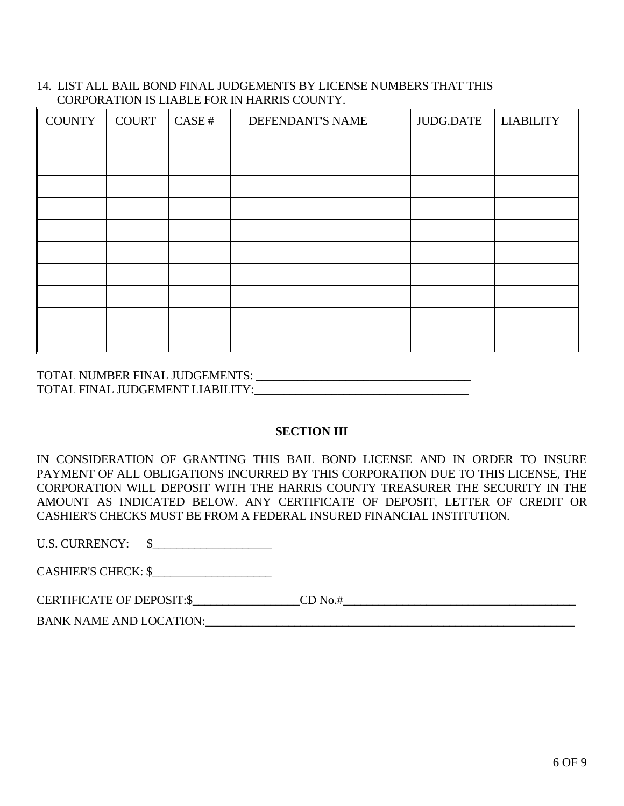#### 14. LIST ALL BAIL BOND FINAL JUDGEMENTS BY LICENSE NUMBERS THAT THIS CORPORATION IS LIABLE FOR IN HARRIS COUNTY.

| <b>COUNTY</b> | <b>COURT</b> | CASE# | DEFENDANT'S NAME | JUDG.DATE | <b>LIABILITY</b> |
|---------------|--------------|-------|------------------|-----------|------------------|
|               |              |       |                  |           |                  |
|               |              |       |                  |           |                  |
|               |              |       |                  |           |                  |
|               |              |       |                  |           |                  |
|               |              |       |                  |           |                  |
|               |              |       |                  |           |                  |
|               |              |       |                  |           |                  |
|               |              |       |                  |           |                  |
|               |              |       |                  |           |                  |
|               |              |       |                  |           |                  |

TOTAL NUMBER FINAL JUDGEMENTS: \_\_\_\_\_\_\_\_\_\_\_\_\_\_\_\_\_\_\_\_\_\_\_\_\_\_\_\_\_\_\_\_\_\_\_\_ TOTAL FINAL JUDGEMENT LIABILITY:\_\_\_\_\_\_\_\_\_\_\_\_\_\_\_\_\_\_\_\_\_\_\_\_\_\_\_\_\_\_\_\_\_\_\_\_

#### **SECTION III**

IN CONSIDERATION OF GRANTING THIS BAIL BOND LICENSE AND IN ORDER TO INSURE PAYMENT OF ALL OBLIGATIONS INCURRED BY THIS CORPORATION DUE TO THIS LICENSE, THE CORPORATION WILL DEPOSIT WITH THE HARRIS COUNTY TREASURER THE SECURITY IN THE AMOUNT AS INDICATED BELOW. ANY CERTIFICATE OF DEPOSIT, LETTER OF CREDIT OR CASHIER'S CHECKS MUST BE FROM A FEDERAL INSURED FINANCIAL INSTITUTION.

U.S. CURRENCY: \\$

CASHIER'S CHECK: \$\_\_\_\_\_\_\_\_\_\_\_\_\_\_\_\_\_\_\_\_

CERTIFICATE OF DEPOSIT:\$ CD No.#

BANK NAME AND LOCATION:\_\_\_\_\_\_\_\_\_\_\_\_\_\_\_\_\_\_\_\_\_\_\_\_\_\_\_\_\_\_\_\_\_\_\_\_\_\_\_\_\_\_\_\_\_\_\_\_\_\_\_\_\_\_\_\_\_\_\_\_\_\_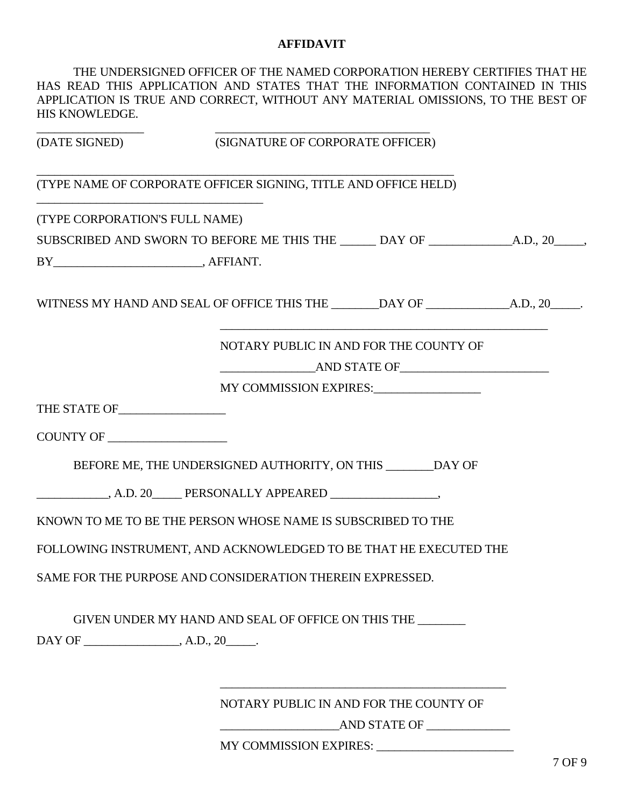#### **AFFIDAVIT**

| HIS KNOWLEDGE.                                                                                                        | THE UNDERSIGNED OFFICER OF THE NAMED CORPORATION HEREBY CERTIFIES THAT HE<br>HAS READ THIS APPLICATION AND STATES THAT THE INFORMATION CONTAINED IN THIS<br>APPLICATION IS TRUE AND CORRECT, WITHOUT ANY MATERIAL OMISSIONS, TO THE BEST OF |  |
|-----------------------------------------------------------------------------------------------------------------------|---------------------------------------------------------------------------------------------------------------------------------------------------------------------------------------------------------------------------------------------|--|
|                                                                                                                       | (DATE SIGNED) (SIGNATURE OF CORPORATE OFFICER)                                                                                                                                                                                              |  |
| <u> 1989 - Johann John Stone, markin film yn y breninnas y breninnas y breninnas y breninnas y breninnas y brenin</u> | (TYPE NAME OF CORPORATE OFFICER SIGNING, TITLE AND OFFICE HELD)                                                                                                                                                                             |  |
| (TYPE CORPORATION'S FULL NAME)                                                                                        |                                                                                                                                                                                                                                             |  |
|                                                                                                                       |                                                                                                                                                                                                                                             |  |
|                                                                                                                       |                                                                                                                                                                                                                                             |  |
|                                                                                                                       |                                                                                                                                                                                                                                             |  |
|                                                                                                                       | NOTARY PUBLIC IN AND FOR THE COUNTY OF<br>AND STATE OF                                                                                                                                                                                      |  |
|                                                                                                                       | MY COMMISSION EXPIRES:                                                                                                                                                                                                                      |  |
| THE STATE OF                                                                                                          |                                                                                                                                                                                                                                             |  |
| COUNTY OF                                                                                                             |                                                                                                                                                                                                                                             |  |
|                                                                                                                       | BEFORE ME, THE UNDERSIGNED AUTHORITY, ON THIS _______ DAY OF                                                                                                                                                                                |  |
|                                                                                                                       |                                                                                                                                                                                                                                             |  |
|                                                                                                                       | KNOWN TO ME TO BE THE PERSON WHOSE NAME IS SUBSCRIBED TO THE                                                                                                                                                                                |  |
|                                                                                                                       | FOLLOWING INSTRUMENT, AND ACKNOWLEDGED TO BE THAT HE EXECUTED THE                                                                                                                                                                           |  |
|                                                                                                                       | SAME FOR THE PURPOSE AND CONSIDERATION THEREIN EXPRESSED.                                                                                                                                                                                   |  |
|                                                                                                                       | GIVEN UNDER MY HAND AND SEAL OF OFFICE ON THIS THE _______                                                                                                                                                                                  |  |
|                                                                                                                       |                                                                                                                                                                                                                                             |  |
|                                                                                                                       |                                                                                                                                                                                                                                             |  |
|                                                                                                                       | NOTARY PUBLIC IN AND FOR THE COUNTY OF                                                                                                                                                                                                      |  |

 $\longrightarrow$  AND STATE OF  $\longrightarrow$ 

MY COMMISSION EXPIRES: \_\_\_\_\_\_\_\_\_\_\_\_\_\_\_\_\_\_\_\_\_\_\_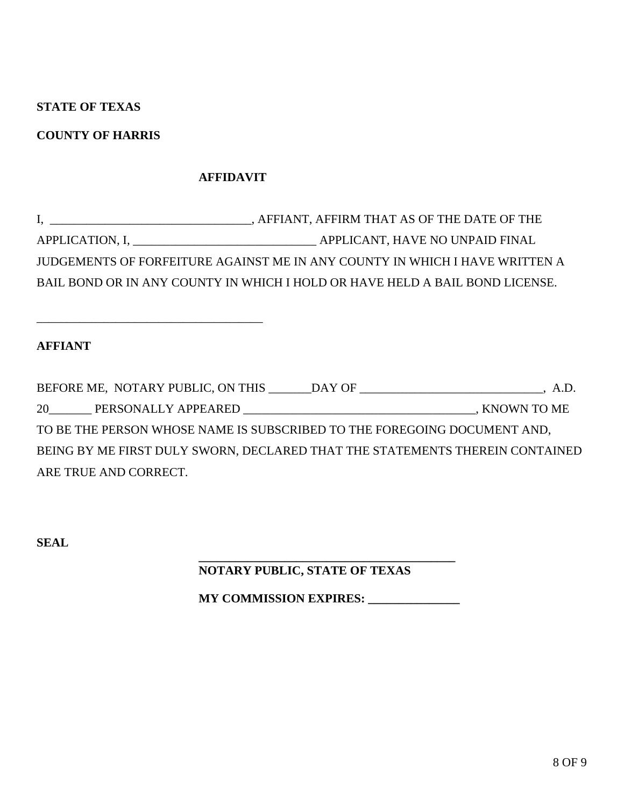# **STATE OF TEXAS**

# **COUNTY OF HARRIS**

\_\_\_\_\_\_\_\_\_\_\_\_\_\_\_\_\_\_\_\_\_\_\_\_\_\_\_\_\_\_\_\_\_\_\_\_\_

# **AFFIDAVIT**

| <u> 1989 - Johann Stein, mars an deutscher Stein († 1958)</u> | , AFFIANT, AFFIRM THAT AS OF THE DATE OF THE                                 |
|---------------------------------------------------------------|------------------------------------------------------------------------------|
|                                                               | APPLICANT, HAVE NO UNPAID FINAL                                              |
|                                                               | JUDGEMENTS OF FORFEITURE AGAINST ME IN ANY COUNTY IN WHICH I HAVE WRITTEN A  |
|                                                               | BAIL BOND OR IN ANY COUNTY IN WHICH I HOLD OR HAVE HELD A BAIL BOND LICENSE. |

# **AFFIANT**

|                                                                          | BEFORE ME, NOTARY PUBLIC, ON THIS ______DAY OF ____________________________, A.D. |
|--------------------------------------------------------------------------|-----------------------------------------------------------------------------------|
| 20 PERSONALLY APPEARED                                                   | , KNOWN TO ME                                                                     |
| TO BE THE PERSON WHOSE NAME IS SUBSCRIBED TO THE FOREGOING DOCUMENT AND, |                                                                                   |
|                                                                          | BEING BY ME FIRST DULY SWORN, DECLARED THAT THE STATEMENTS THEREIN CONTAINED      |
| ARE TRUE AND CORRECT.                                                    |                                                                                   |

**SEAL**

# **NOTARY PUBLIC, STATE OF TEXAS**

 **\_\_\_\_\_\_\_\_\_\_\_\_\_\_\_\_\_\_\_\_\_\_\_\_\_\_\_\_\_\_\_\_\_\_\_\_\_\_\_\_\_\_** 

**MY COMMISSION EXPIRES:** \_\_\_\_\_\_\_\_\_\_\_\_\_\_\_